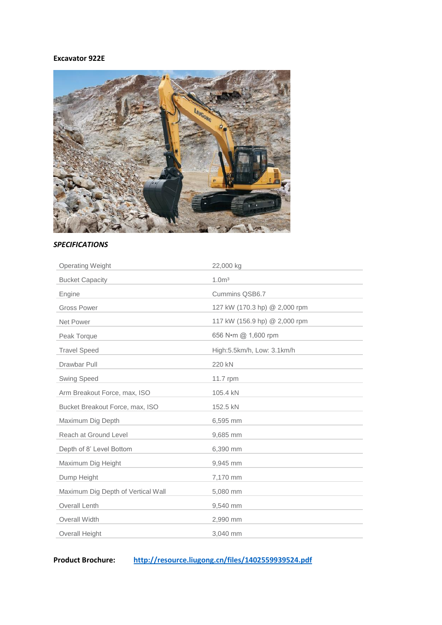# **Excavator 922E**



# *SPECIFICATIONS*

| <b>Operating Weight</b>            | 22,000 kg                     |
|------------------------------------|-------------------------------|
| <b>Bucket Capacity</b>             | 1.0 <sup>m3</sup>             |
| Engine                             | Cummins QSB6.7                |
| <b>Gross Power</b>                 | 127 kW (170.3 hp) @ 2,000 rpm |
| Net Power                          | 117 kW (156.9 hp) @ 2,000 rpm |
| Peak Torque                        | 656 N•m @ 1,600 rpm           |
| <b>Travel Speed</b>                | High:5.5km/h, Low: 3.1km/h    |
| Drawbar Pull                       | 220 kN                        |
| <b>Swing Speed</b>                 | 11.7 rpm                      |
| Arm Breakout Force, max, ISO       | 105.4 kN                      |
| Bucket Breakout Force, max, ISO    | 152.5 kN                      |
| Maximum Dig Depth                  | 6,595 mm                      |
| Reach at Ground Level              | 9,685 mm                      |
| Depth of 8' Level Bottom           | 6,390 mm                      |
| Maximum Dig Height                 | 9,945 mm                      |
| Dump Height                        | 7,170 mm                      |
| Maximum Dig Depth of Vertical Wall | 5,080 mm                      |
| <b>Overall Lenth</b>               | 9,540 mm                      |
| <b>Overall Width</b>               | 2,990 mm                      |
| <b>Overall Height</b>              | 3.040 mm                      |

**Product Brochure: <http://resource.liugong.cn/files/1402559939524.pdf>**